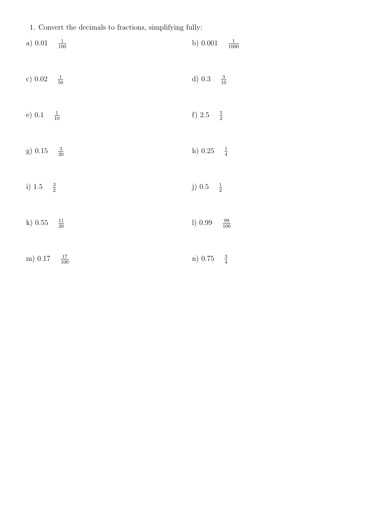1. Convert the decimals to fractions, simplifying fully:

| $a)$ 0.01<br>$\frac{1}{100}$ | b) $0.001$<br>$\frac{1}{1000}$ |
|------------------------------|--------------------------------|
| c) $0.02 \frac{1}{50}$       | d) $0.3 \frac{3}{10}$          |
| e) $0.1 \frac{1}{10}$        | f) 2.5 $\frac{5}{2}$           |
| g) $0.15 \frac{3}{20}$       | h) $0.25 \frac{1}{4}$          |
| i) 1.5 $\frac{3}{2}$         | j) $0.5 \frac{1}{2}$           |
| $\frac{11}{20}$<br>$k)$ 0.55 | 1) 0.99<br>$\frac{99}{100}$    |
| $\frac{17}{100}$<br>m) 0.17  | n) 0.75 $\frac{3}{4}$          |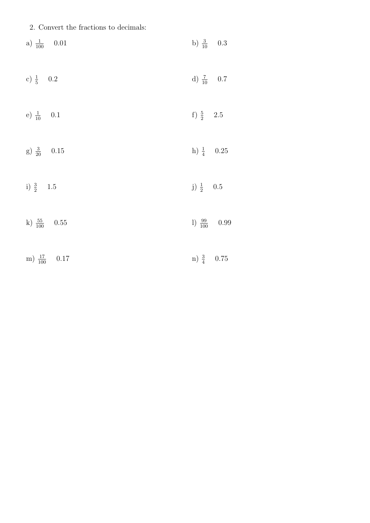2. Convert the fractions to decimals:

| a) $\frac{1}{100}$ 0.01  | b) $\frac{3}{10}$ 0.3    |
|--------------------------|--------------------------|
| c) $\frac{1}{5}$ 0.2     | d) $\frac{7}{10}$ 0.7    |
| e) $\frac{1}{10}$ 0.1    | f) $\frac{5}{2}$ 2.5     |
| g) $\frac{3}{20}$ 0.15   | h) $\frac{1}{4}$ 0.25    |
| i) $\frac{3}{2}$ 1.5     | j) $\frac{1}{2}$ 0.5     |
| k) $\frac{55}{100}$ 0.55 | 1) $\frac{99}{100}$ 0.99 |
| m) $\frac{17}{100}$ 0.17 | $n) \frac{3}{4} 0.75$    |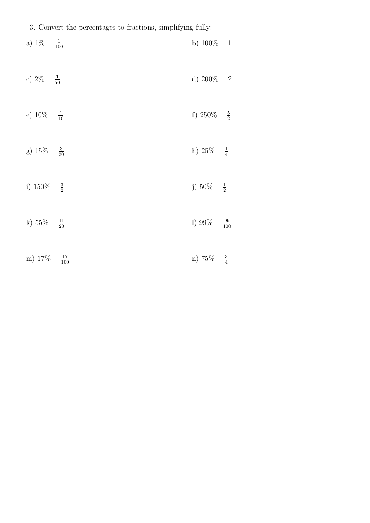|  |  | 3. Convert the percentages to fractions, simplifying fully: |  |  |  |
|--|--|-------------------------------------------------------------|--|--|--|
|--|--|-------------------------------------------------------------|--|--|--|

| a) $1\%$ $\frac{1}{100}$ |                  | b) $100\% - 1$          |                  |
|--------------------------|------------------|-------------------------|------------------|
| c) $2\% - \frac{1}{50}$  |                  | d) $200\%$ 2            |                  |
| e) $10\%$                | $rac{1}{10}$     | f) $250\%$              | $-\frac{5}{2}$   |
| g) $15\%$                | $rac{3}{20}$     | h) $25%$                | $\frac{1}{4}$    |
| i) 150%                  | $rac{3}{2}$      | j) $50\% - \frac{1}{2}$ |                  |
| k) $55\%$                | $\frac{11}{20}$  | 1) 99%                  | $\frac{99}{100}$ |
| m) 17%                   | $\frac{17}{100}$ | n) 75%                  | $\frac{3}{4}$    |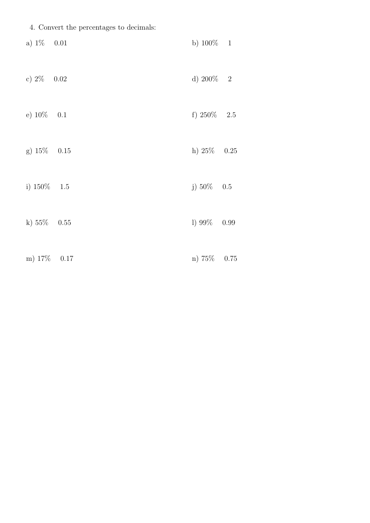|  |  |  | 4. Convert the percentages to decimals: |  |  |  |
|--|--|--|-----------------------------------------|--|--|--|
|--|--|--|-----------------------------------------|--|--|--|

| a) $1\%$ 0.01  | b) $100\% - 1$ |  |
|----------------|----------------|--|
| c) $2\%$ 0.02  | d) $200\%$ 2   |  |
| e) $10\%$ 0.1  | f) $250\%$ 2.5 |  |
| $g) 15\% 0.15$ | h) $25\%$ 0.25 |  |
| i) $150\%$ 1.5 | j) $50\%$ 0.5  |  |
| k) $55\%$ 0.55 | 1) $99\%$ 0.99 |  |
| m) 17\% 0.17   | n) 75% 0.75    |  |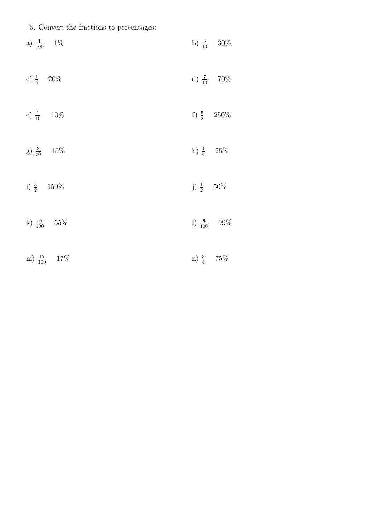5. Convert the fractions to percentages:

| a) $\frac{1}{100}$ 1%   |                      | b) $\frac{3}{10}$ 30%   |
|-------------------------|----------------------|-------------------------|
| c) $\frac{1}{5}$ 20%    |                      | d) $\frac{7}{10}$ 70%   |
| e) $\frac{1}{10}$ 10%   |                      | f) $\frac{5}{2}$ 250%   |
| g) $\frac{3}{20}$ 15%   | h) $\frac{1}{4}$ 25% |                         |
| i) $\frac{3}{2}$ 150%   | j) $\frac{1}{2}$ 50% |                         |
| k) $\frac{55}{100}$ 55% |                      | 1) $\frac{99}{100}$ 99% |
| m) $\frac{17}{100}$ 17% | n) $\frac{3}{4}$ 75% |                         |